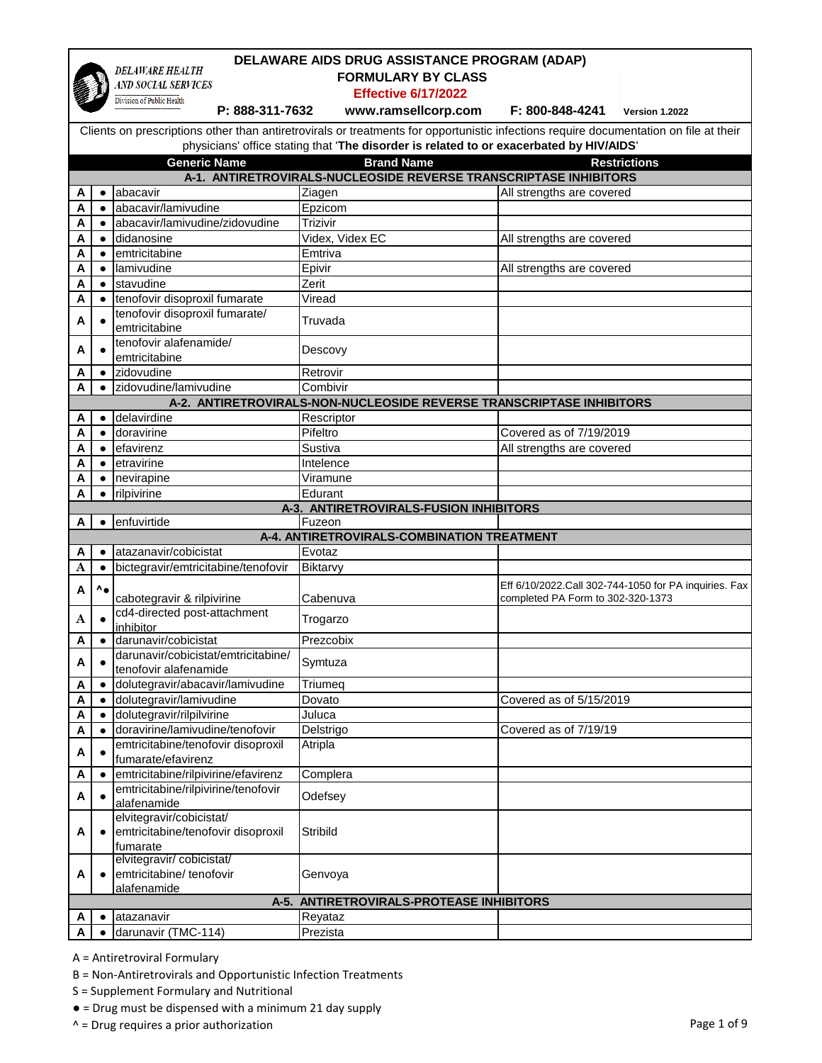|        | DELAWARE AIDS DRUG ASSISTANCE PROGRAM (ADAP) |                                                                |                                                                                                                                       |                                   |                                                       |
|--------|----------------------------------------------|----------------------------------------------------------------|---------------------------------------------------------------------------------------------------------------------------------------|-----------------------------------|-------------------------------------------------------|
|        |                                              | <b>DELAWARE HEALTH</b><br>AND SOCIAL SERVICES                  | <b>FORMULARY BY CLASS</b>                                                                                                             |                                   |                                                       |
|        |                                              | Division of Public Health                                      | <b>Effective 6/17/2022</b>                                                                                                            |                                   |                                                       |
|        |                                              | P: 888-311-7632                                                | www.ramsellcorp.com                                                                                                                   | F: 800-848-4241                   | Version 1.2022                                        |
|        |                                              |                                                                | Clients on prescriptions other than antiretrovirals or treatments for opportunistic infections require documentation on file at their |                                   |                                                       |
|        |                                              |                                                                | physicians' office stating that 'The disorder is related to or exacerbated by HIV/AIDS'                                               |                                   |                                                       |
|        |                                              | <b>Generic Name</b>                                            | <b>Brand Name</b>                                                                                                                     |                                   | <b>Restrictions</b>                                   |
|        |                                              |                                                                | A-1. ANTIRETROVIRALS-NUCLEOSIDE REVERSE TRANSCRIPTASE INHIBITORS                                                                      |                                   |                                                       |
| A      |                                              | abacavir                                                       | Ziagen                                                                                                                                | All strengths are covered         |                                                       |
| A      | $\bullet$                                    | abacavir/lamivudine                                            | Epzicom                                                                                                                               |                                   |                                                       |
| A      |                                              | abacavir/lamivudine/zidovudine                                 | Trizivir                                                                                                                              |                                   |                                                       |
| Α      | $\bullet$                                    | didanosine                                                     | Videx, Videx EC                                                                                                                       | All strengths are covered         |                                                       |
| А      | $\bullet$                                    | emtricitabine                                                  | Emtriva                                                                                                                               |                                   |                                                       |
| Α      | $\bullet$                                    | lamivudine                                                     | Epivir                                                                                                                                | All strengths are covered         |                                                       |
| A      | $\bullet$                                    | stavudine                                                      | Zerit                                                                                                                                 |                                   |                                                       |
| A      | $\bullet$                                    | tenofovir disoproxil fumarate                                  | Viread                                                                                                                                |                                   |                                                       |
|        |                                              | tenofovir disoproxil fumarate/                                 |                                                                                                                                       |                                   |                                                       |
| A      |                                              | emtricitabine                                                  | Truvada                                                                                                                               |                                   |                                                       |
| A      |                                              | tenofovir alafenamide/                                         | Descovy                                                                                                                               |                                   |                                                       |
|        |                                              | emtricitabine                                                  |                                                                                                                                       |                                   |                                                       |
| Α      | $\bullet$                                    | zidovudine                                                     | Retrovir                                                                                                                              |                                   |                                                       |
| A      | $\bullet$                                    | zidovudine/lamivudine                                          | Combivir                                                                                                                              |                                   |                                                       |
|        |                                              |                                                                | A-2. ANTIRETROVIRALS-NON-NUCLEOSIDE REVERSE TRANSCRIPTASE INHIBITORS                                                                  |                                   |                                                       |
| Α      |                                              | delavirdine                                                    | Rescriptor                                                                                                                            |                                   |                                                       |
| A      | $\bullet$                                    | doravirine                                                     | Pifeltro                                                                                                                              | Covered as of 7/19/2019           |                                                       |
| A      | $\bullet$                                    | efavirenz                                                      | Sustiva                                                                                                                               | All strengths are covered         |                                                       |
| A      | $\bullet$                                    | etravirine                                                     | Intelence                                                                                                                             |                                   |                                                       |
| Α      |                                              | nevirapine                                                     | Viramune                                                                                                                              |                                   |                                                       |
| A      | $\bullet$                                    | rilpivirine                                                    | Edurant<br><b>A-3. ANTIRETROVIRALS-FUSION INHIBITORS</b>                                                                              |                                   |                                                       |
|        |                                              |                                                                |                                                                                                                                       |                                   |                                                       |
|        |                                              |                                                                |                                                                                                                                       |                                   |                                                       |
| A      | $\bullet$                                    | enfuvirtide                                                    | Fuzeon                                                                                                                                |                                   |                                                       |
| A      | $\bullet$                                    |                                                                | A-4. ANTIRETROVIRALS-COMBINATION TREATMENT                                                                                            |                                   |                                                       |
| A      |                                              | atazanavir/cobicistat                                          | Evotaz                                                                                                                                |                                   |                                                       |
|        |                                              | bictegravir/emtricitabine/tenofovir                            | Biktarvy                                                                                                                              |                                   |                                                       |
| A      | $\mathbf{A}_{\bullet}$                       | cabotegravir & rilpivirine                                     | Cabenuva                                                                                                                              | completed PA Form to 302-320-1373 |                                                       |
|        |                                              | cd4-directed post-attachment                                   |                                                                                                                                       |                                   |                                                       |
| A      |                                              | inhibitor                                                      | Trogarzo                                                                                                                              |                                   |                                                       |
| A      | $\bullet$                                    | darunavir/cobicistat                                           | Prezcobix                                                                                                                             |                                   |                                                       |
| A      |                                              | darunavir/cobicistat/emtricitabine/                            |                                                                                                                                       |                                   |                                                       |
|        |                                              | tenofovir alafenamide                                          | Symtuza                                                                                                                               |                                   |                                                       |
| A      | $\bullet$                                    | dolutegravir/abacavir/lamivudine                               | Triumeq                                                                                                                               |                                   |                                                       |
| A      | $\bullet$                                    | dolutegravir/lamivudine                                        | Dovato                                                                                                                                | Covered as of 5/15/2019           |                                                       |
| A      | $\bullet$                                    | dolutegravir/rilpilvirine                                      | Juluca                                                                                                                                |                                   |                                                       |
| A      |                                              | doravirine/lamivudine/tenofovir                                | Delstrigo                                                                                                                             | Covered as of 7/19/19             |                                                       |
| A      |                                              | emtricitabine/tenofovir disoproxil                             | Atripla                                                                                                                               |                                   |                                                       |
|        |                                              | fumarate/efavirenz                                             |                                                                                                                                       |                                   |                                                       |
| Α      | $\bullet$                                    | emtricitabine/rilpivirine/efavirenz                            | Complera                                                                                                                              |                                   |                                                       |
| A      |                                              | emtricitabine/rilpivirine/tenofovir                            | Odefsey                                                                                                                               |                                   |                                                       |
|        |                                              | alafenamide                                                    |                                                                                                                                       |                                   |                                                       |
| A      |                                              | elvitegravir/cobicistat/<br>emtricitabine/tenofovir disoproxil | Stribild                                                                                                                              |                                   |                                                       |
|        |                                              | fumarate                                                       |                                                                                                                                       |                                   |                                                       |
|        |                                              | elvitegravir/cobicistat/                                       |                                                                                                                                       |                                   | Eff 6/10/2022.Call 302-744-1050 for PA inquiries. Fax |
| A      |                                              | emtricitabine/ tenofovir                                       | Genvoya                                                                                                                               |                                   |                                                       |
|        |                                              | alafenamide                                                    |                                                                                                                                       |                                   |                                                       |
|        |                                              |                                                                | A-5. ANTIRETROVIRALS-PROTEASE INHIBITORS                                                                                              |                                   |                                                       |
| Α<br>A |                                              | atazanavir<br>darunavir (TMC-114)                              | Reyataz<br>Prezista                                                                                                                   |                                   |                                                       |

B = Non-Antiretrovirals and Opportunistic Infection Treatments

S = Supplement Formulary and Nutritional

● = Drug must be dispensed with a minimum 21 day supply

^ = Drug requires a prior authorization Page 1 of 9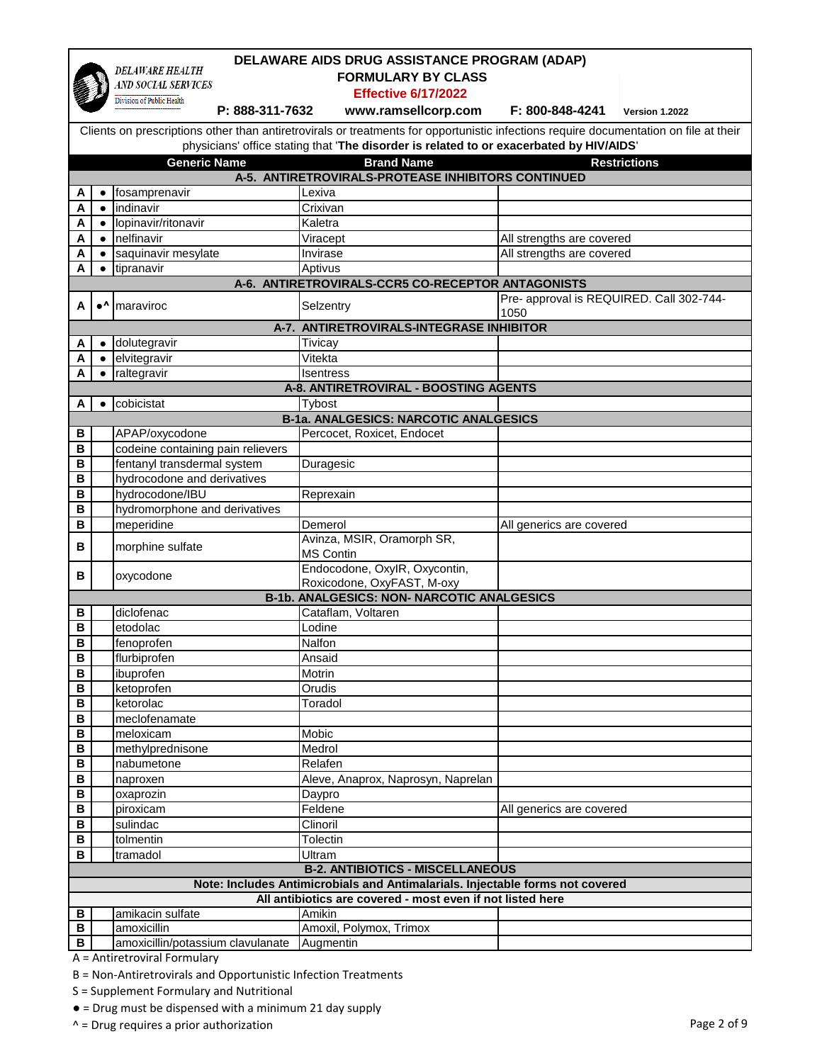|                         | DELAWARE AIDS DRUG ASSISTANCE PROGRAM (ADAP) |                                               |                                                                                                                                             |                                          |                     |
|-------------------------|----------------------------------------------|-----------------------------------------------|---------------------------------------------------------------------------------------------------------------------------------------------|------------------------------------------|---------------------|
|                         |                                              | <b>DELAWARE HEALTH</b><br>AND SOCIAL SERVICES | <b>FORMULARY BY CLASS</b>                                                                                                                   |                                          |                     |
|                         |                                              | Division of Public Health                     | <b>Effective 6/17/2022</b>                                                                                                                  |                                          |                     |
|                         |                                              | P: 888-311-7632                               | www.ramsellcorp.com                                                                                                                         | F: 800-848-4241                          | Version 1.2022      |
|                         |                                              |                                               | Clients on prescriptions other than antiretrovirals or treatments for opportunistic infections require documentation on file at their       |                                          |                     |
|                         |                                              |                                               | physicians' office stating that 'The disorder is related to or exacerbated by HIV/AIDS'                                                     |                                          |                     |
|                         |                                              |                                               |                                                                                                                                             |                                          |                     |
|                         |                                              | <b>Generic Name</b>                           | <b>Brand Name</b>                                                                                                                           |                                          | <b>Restrictions</b> |
|                         | $\bullet$                                    | fosamprenavir                                 | A-5. ANTIRETROVIRALS-PROTEASE INHIBITORS CONTINUED                                                                                          |                                          |                     |
| A<br>A                  | $\bullet$                                    | indinavir                                     | Lexiva<br>Crixivan                                                                                                                          |                                          |                     |
| A                       | $\bullet$                                    | lopinavir/ritonavir                           | Kaletra                                                                                                                                     |                                          |                     |
| Α                       |                                              | nelfinavir                                    | Viracept                                                                                                                                    | All strengths are covered                |                     |
| Α                       |                                              | saquinavir mesylate                           | Invirase                                                                                                                                    | All strengths are covered                |                     |
| А                       | $\bullet$                                    | tipranavir                                    | Aptivus                                                                                                                                     |                                          |                     |
|                         |                                              |                                               | A-6. ANTIRETROVIRALS-CCR5 CO-RECEPTOR ANTAGONISTS                                                                                           |                                          |                     |
|                         |                                              |                                               |                                                                                                                                             | Pre- approval is REQUIRED. Call 302-744- |                     |
| А                       | $\bullet^\Lambda$                            | maraviroc                                     | Selzentry                                                                                                                                   | 1050                                     |                     |
|                         |                                              |                                               | A-7. ANTIRETROVIRALS-INTEGRASE INHIBITOR                                                                                                    |                                          |                     |
| A                       | $\bullet$                                    | dolutegravir                                  | Tivicay                                                                                                                                     |                                          |                     |
| Α                       |                                              | · elvitegravir                                | Vitekta                                                                                                                                     |                                          |                     |
| А                       |                                              | $\bullet$ raltegravir                         | <b>Isentress</b>                                                                                                                            |                                          |                     |
|                         |                                              |                                               | <b>A-8. ANTIRETROVIRAL - BOOSTING AGENTS</b>                                                                                                |                                          |                     |
| Α                       | $\bullet$                                    | cobicistat                                    | Tybost                                                                                                                                      |                                          |                     |
|                         |                                              |                                               | <b>B-1a. ANALGESICS: NARCOTIC ANALGESICS</b>                                                                                                |                                          |                     |
| В                       |                                              | APAP/oxycodone                                | Percocet, Roxicet, Endocet                                                                                                                  |                                          |                     |
| в                       |                                              | codeine containing pain relievers             |                                                                                                                                             |                                          |                     |
| B                       |                                              | fentanyl transdermal system                   | Duragesic                                                                                                                                   |                                          |                     |
| B                       |                                              | hydrocodone and derivatives                   |                                                                                                                                             |                                          |                     |
| B                       |                                              | hydrocodone/IBU                               | Reprexain                                                                                                                                   |                                          |                     |
| B                       |                                              | hydromorphone and derivatives                 |                                                                                                                                             |                                          |                     |
| B                       |                                              | meperidine                                    | Demerol                                                                                                                                     | All generics are covered                 |                     |
| в                       |                                              | morphine sulfate                              | Avinza, MSIR, Oramorph SR,                                                                                                                  |                                          |                     |
|                         |                                              |                                               | <b>MS Contin</b><br>Endocodone, OxylR, Oxycontin,                                                                                           |                                          |                     |
| в                       |                                              | oxycodone                                     | Roxicodone, OxyFAST, M-oxy                                                                                                                  |                                          |                     |
|                         |                                              |                                               | <b>B-1b. ANALGESICS: NON- NARCOTIC ANALGESICS</b>                                                                                           |                                          |                     |
| В                       |                                              | diclofenac                                    | Cataflam, Voltaren                                                                                                                          |                                          |                     |
| в                       |                                              | etodolac                                      | Lodine                                                                                                                                      |                                          |                     |
| B                       |                                              | fenoprofen                                    | Nalfon                                                                                                                                      |                                          |                     |
| $\overline{\mathsf{B}}$ |                                              | flurbiprofen                                  | Ansaid                                                                                                                                      |                                          |                     |
| В                       |                                              | ibuprofen                                     | Motrin                                                                                                                                      |                                          |                     |
| В                       |                                              | ketoprofen                                    | Orudis                                                                                                                                      |                                          |                     |
| B                       |                                              | ketorolac                                     | Toradol                                                                                                                                     |                                          |                     |
| В                       |                                              | meclofenamate                                 |                                                                                                                                             |                                          |                     |
| В                       |                                              | meloxicam                                     | Mobic                                                                                                                                       |                                          |                     |
| В                       |                                              | methylprednisone                              | Medrol                                                                                                                                      |                                          |                     |
| $\, {\bf B}$            |                                              | nabumetone                                    | Relafen                                                                                                                                     |                                          |                     |
| $\, {\bf B}$            |                                              | naproxen                                      | Aleve, Anaprox, Naprosyn, Naprelan                                                                                                          |                                          |                     |
| В                       |                                              | oxaprozin                                     | Daypro                                                                                                                                      |                                          |                     |
| В                       |                                              | piroxicam                                     | Feldene                                                                                                                                     | All generics are covered                 |                     |
| В                       |                                              | sulindac                                      | Clinoril                                                                                                                                    |                                          |                     |
| В                       |                                              | tolmentin                                     | Tolectin                                                                                                                                    |                                          |                     |
| в                       |                                              | tramadol                                      | Ultram                                                                                                                                      |                                          |                     |
|                         |                                              |                                               | <b>B-2. ANTIBIOTICS - MISCELLANEOUS</b>                                                                                                     |                                          |                     |
|                         |                                              |                                               | Note: Includes Antimicrobials and Antimalarials. Injectable forms not covered<br>All antibiotics are covered - most even if not listed here |                                          |                     |
| В                       |                                              | amikacin sulfate                              | Amikin                                                                                                                                      |                                          |                     |
| $\, {\bf B}$            |                                              | amoxicillin                                   | Amoxil, Polymox, Trimox                                                                                                                     |                                          |                     |
| В                       |                                              | amoxicillin/potassium clavulanate             | Augmentin                                                                                                                                   |                                          |                     |
|                         |                                              | A = Antiretroviral Formulary                  |                                                                                                                                             |                                          |                     |

etroviral Formulary

B = Non-Antiretrovirals and Opportunistic Infection Treatments

S = Supplement Formulary and Nutritional

● = Drug must be dispensed with a minimum 21 day supply

 $^{\circ}$  = Drug requires a prior authorization  $^{\circ}$  Page 2 of 9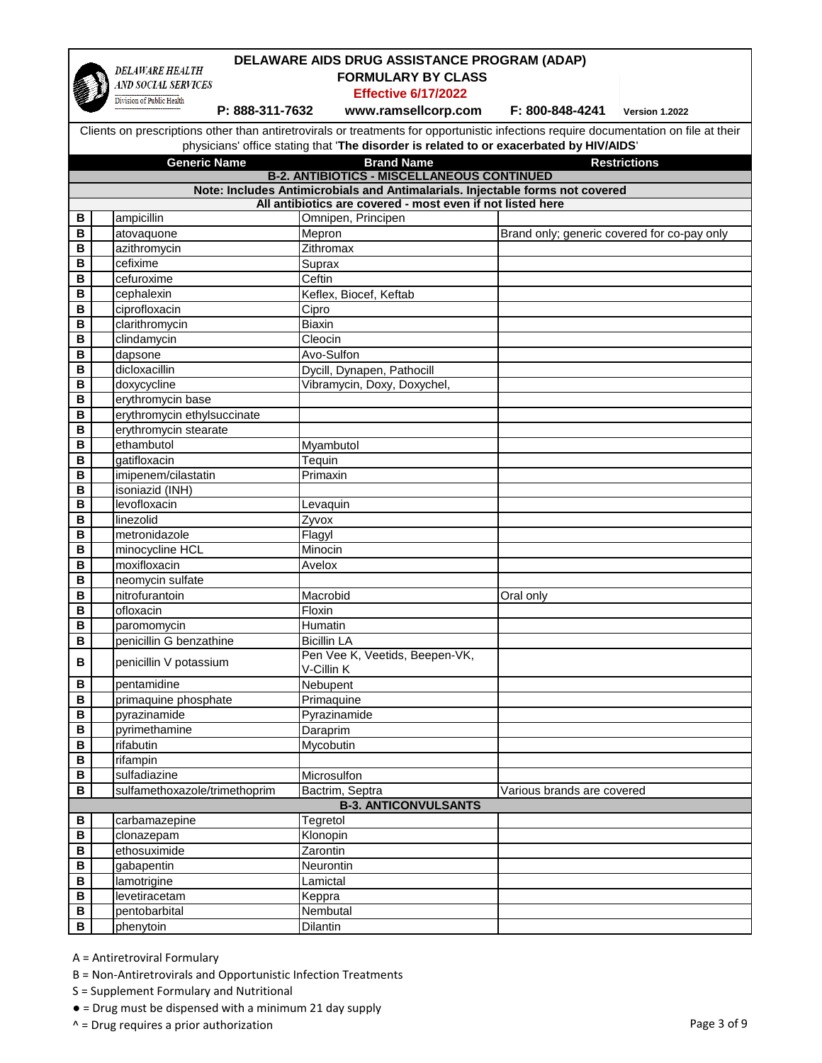

## **DELAWARE AIDS DRUG ASSISTANCE PROGRAM (ADAP)**

 **FORMULARY BY CLASS** 

**Effective 6/17/2022**

**Privision of Public Health**<br>**P: 888-311-7632 mww.ramsellcorp.com F: 800-848-4241** Version 1.2022

Clients on prescriptions other than antiretrovirals or treatments for opportunistic infections require documentation on file at their physicians' office stating that '**The disorder is related to or exacerbated by HIV/AIDS**'

|                                                                               | <b>Generic Name</b>                               | <b>Brand Name</b>              | <b>Restrictions</b>                         |  |  |  |
|-------------------------------------------------------------------------------|---------------------------------------------------|--------------------------------|---------------------------------------------|--|--|--|
|                                                                               | <b>B-2. ANTIBIOTICS - MISCELLANEOUS CONTINUED</b> |                                |                                             |  |  |  |
| Note: Includes Antimicrobials and Antimalarials. Injectable forms not covered |                                                   |                                |                                             |  |  |  |
| All antibiotics are covered - most even if not listed here                    |                                                   |                                |                                             |  |  |  |
| В                                                                             | ampicillin                                        | Omnipen, Principen             |                                             |  |  |  |
| В                                                                             | atovaquone                                        | Mepron                         | Brand only; generic covered for co-pay only |  |  |  |
| B                                                                             | azithromycin                                      | Zithromax                      |                                             |  |  |  |
| B                                                                             | cefixime                                          | Suprax                         |                                             |  |  |  |
| B                                                                             | cefuroxime                                        | Ceftin                         |                                             |  |  |  |
| B                                                                             | cephalexin                                        | Keflex, Biocef, Keftab         |                                             |  |  |  |
| B                                                                             | ciprofloxacin                                     | Cipro                          |                                             |  |  |  |
| B                                                                             | clarithromycin                                    | <b>Biaxin</b>                  |                                             |  |  |  |
| B                                                                             | clindamycin                                       | Cleocin                        |                                             |  |  |  |
| B                                                                             | dapsone                                           | Avo-Sulfon                     |                                             |  |  |  |
| B                                                                             | dicloxacillin                                     | Dycill, Dynapen, Pathocill     |                                             |  |  |  |
| $\mathbf B$                                                                   | doxycycline                                       | Vibramycin, Doxy, Doxychel,    |                                             |  |  |  |
| $\overline{\mathsf{B}}$                                                       | erythromycin base                                 |                                |                                             |  |  |  |
| B                                                                             | erythromycin ethylsuccinate                       |                                |                                             |  |  |  |
| B                                                                             | erythromycin stearate                             |                                |                                             |  |  |  |
| B                                                                             | ethambutol                                        | Myambutol                      |                                             |  |  |  |
| B                                                                             | gatifloxacin                                      | Tequin                         |                                             |  |  |  |
| B                                                                             | imipenem/cilastatin                               | Primaxin                       |                                             |  |  |  |
| B                                                                             | isoniazid (INH)                                   |                                |                                             |  |  |  |
| B                                                                             | levofloxacin                                      | Levaquin                       |                                             |  |  |  |
| в                                                                             | linezolid                                         | Zyvox                          |                                             |  |  |  |
| B                                                                             | metronidazole                                     | Flagyl                         |                                             |  |  |  |
| B                                                                             | minocycline HCL                                   | Minocin                        |                                             |  |  |  |
| B                                                                             | moxifloxacin                                      | Avelox                         |                                             |  |  |  |
| B                                                                             | neomycin sulfate                                  |                                |                                             |  |  |  |
| B                                                                             | nitrofurantoin                                    | Macrobid                       | Oral only                                   |  |  |  |
| B                                                                             | ofloxacin                                         | Floxin                         |                                             |  |  |  |
| B                                                                             | paromomycin                                       | Humatin                        |                                             |  |  |  |
| B                                                                             | penicillin G benzathine                           | <b>Bicillin LA</b>             |                                             |  |  |  |
| B                                                                             | penicillin V potassium                            | Pen Vee K, Veetids, Beepen-VK, |                                             |  |  |  |
|                                                                               |                                                   | V-Cillin K                     |                                             |  |  |  |
| B                                                                             | pentamidine                                       | Nebupent                       |                                             |  |  |  |
| B<br>B                                                                        | primaquine phosphate<br>pyrazinamide              | Primaquine                     |                                             |  |  |  |
| B                                                                             | pyrimethamine                                     | Pyrazinamide                   |                                             |  |  |  |
| B                                                                             | rifabutin                                         | Daraprim<br>Mycobutin          |                                             |  |  |  |
|                                                                               | rifampin                                          |                                |                                             |  |  |  |
| В<br>В                                                                        | sulfadiazine                                      | Microsulfon                    |                                             |  |  |  |
| в                                                                             | sulfamethoxazole/trimethoprim                     | Bactrim, Septra                | Various brands are covered                  |  |  |  |
|                                                                               |                                                   | <b>B-3. ANTICONVULSANTS</b>    |                                             |  |  |  |
| В                                                                             | carbamazepine                                     | Tegretol                       |                                             |  |  |  |
| В                                                                             | clonazepam                                        | Klonopin                       |                                             |  |  |  |
| B                                                                             | ethosuximide                                      | Zarontin                       |                                             |  |  |  |
| B                                                                             | gabapentin                                        | Neurontin                      |                                             |  |  |  |
| B                                                                             | lamotrigine                                       | Lamictal                       |                                             |  |  |  |
| B                                                                             | levetiracetam                                     | Keppra                         |                                             |  |  |  |
| $\, {\bf B}$                                                                  | pentobarbital                                     | Nembutal                       |                                             |  |  |  |
| $\, {\bf B}$                                                                  | phenytoin                                         | Dilantin                       |                                             |  |  |  |

A = Antiretroviral Formulary

- B = Non-Antiretrovirals and Opportunistic Infection Treatments
- S = Supplement Formulary and Nutritional
- = Drug must be dispensed with a minimum 21 day supply
- ^ = Drug requires a prior authorization example of 9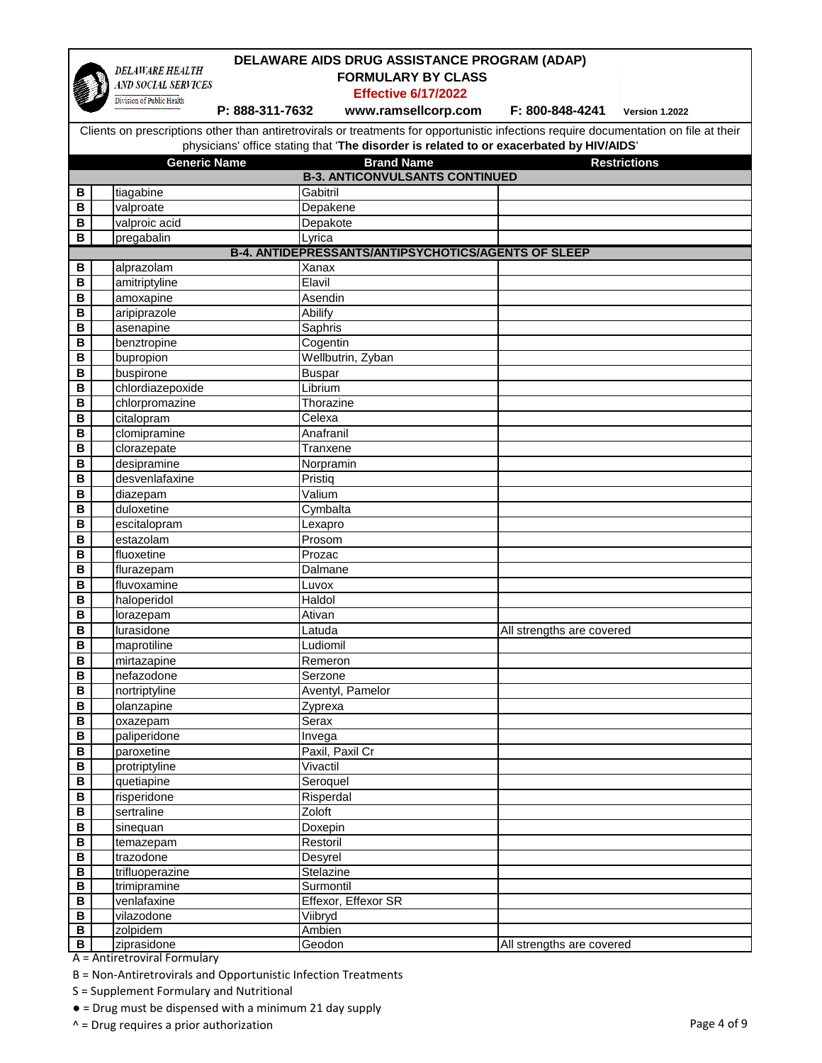|        | DELAWARE AIDS DRUG ASSISTANCE PROGRAM (ADAP)        |                       |                                                                                                                                       |                           |                     |  |  |  |
|--------|-----------------------------------------------------|-----------------------|---------------------------------------------------------------------------------------------------------------------------------------|---------------------------|---------------------|--|--|--|
|        | <b>DELAWARE HEALTH</b>                              |                       | <b>FORMULARY BY CLASS</b>                                                                                                             |                           |                     |  |  |  |
|        | AND SOCIAL SERVICES<br>Division of Public Health    |                       | <b>Effective 6/17/2022</b>                                                                                                            |                           |                     |  |  |  |
|        |                                                     | P: 888-311-7632       | www.ramsellcorp.com                                                                                                                   | F: 800-848-4241           | Version 1.2022      |  |  |  |
|        |                                                     |                       | Clients on prescriptions other than antiretrovirals or treatments for opportunistic infections require documentation on file at their |                           |                     |  |  |  |
|        |                                                     |                       | physicians' office stating that 'The disorder is related to or exacerbated by HIV/AIDS'                                               |                           |                     |  |  |  |
|        | <b>Generic Name</b>                                 |                       | <b>Brand Name</b>                                                                                                                     |                           | <b>Restrictions</b> |  |  |  |
|        |                                                     |                       | <b>B-3. ANTICONVULSANTS CONTINUED</b>                                                                                                 |                           |                     |  |  |  |
| В      | tiagabine                                           | Gabitril              |                                                                                                                                       |                           |                     |  |  |  |
| B      | valproate                                           | Depakene              |                                                                                                                                       |                           |                     |  |  |  |
| B      | valproic acid                                       | Depakote              |                                                                                                                                       |                           |                     |  |  |  |
| B      | pregabalin                                          | Lyrica                |                                                                                                                                       |                           |                     |  |  |  |
|        | B-4. ANTIDEPRESSANTS/ANTIPSYCHOTICS/AGENTS OF SLEEP |                       |                                                                                                                                       |                           |                     |  |  |  |
| В      | alprazolam                                          | Xanax                 |                                                                                                                                       |                           |                     |  |  |  |
| B      | amitriptyline                                       | Elavil                |                                                                                                                                       |                           |                     |  |  |  |
| B      | amoxapine                                           | Asendin               |                                                                                                                                       |                           |                     |  |  |  |
| B      | aripiprazole                                        | Abilify               |                                                                                                                                       |                           |                     |  |  |  |
| B      | asenapine                                           | Saphris               |                                                                                                                                       |                           |                     |  |  |  |
| B      | benztropine                                         | Cogentin              |                                                                                                                                       |                           |                     |  |  |  |
| в      | bupropion                                           |                       | Wellbutrin, Zyban                                                                                                                     |                           |                     |  |  |  |
| В      | buspirone                                           | <b>Buspar</b>         |                                                                                                                                       |                           |                     |  |  |  |
| B      | chlordiazepoxide                                    | Librium               |                                                                                                                                       |                           |                     |  |  |  |
| B      | chlorpromazine                                      | Thorazine             |                                                                                                                                       |                           |                     |  |  |  |
| В      | citalopram                                          | Celexa                |                                                                                                                                       |                           |                     |  |  |  |
| В<br>B | clomipramine                                        | Anafranil<br>Tranxene |                                                                                                                                       |                           |                     |  |  |  |
| B      | clorazepate<br>desipramine                          | Norpramin             |                                                                                                                                       |                           |                     |  |  |  |
| B      | desvenlafaxine                                      | Pristiq               |                                                                                                                                       |                           |                     |  |  |  |
| B      | diazepam                                            | Valium                |                                                                                                                                       |                           |                     |  |  |  |
| B      | duloxetine                                          | Cymbalta              |                                                                                                                                       |                           |                     |  |  |  |
| B      | escitalopram                                        | Lexapro               |                                                                                                                                       |                           |                     |  |  |  |
| B      | estazolam                                           | Prosom                |                                                                                                                                       |                           |                     |  |  |  |
| B      | fluoxetine                                          | Prozac                |                                                                                                                                       |                           |                     |  |  |  |
| B      | flurazepam                                          | Dalmane               |                                                                                                                                       |                           |                     |  |  |  |
| B      | fluvoxamine                                         | Luvox                 |                                                                                                                                       |                           |                     |  |  |  |
| B      | haloperidol                                         | Haldol                |                                                                                                                                       |                           |                     |  |  |  |
| В      | lorazepam                                           | Ativan                |                                                                                                                                       |                           |                     |  |  |  |
| В      | lurasidone                                          | Latuda                |                                                                                                                                       | All strengths are covered |                     |  |  |  |
| B      | maprotiline                                         | Ludiomil              |                                                                                                                                       |                           |                     |  |  |  |
| В      | mirtazapine                                         | Remeron               |                                                                                                                                       |                           |                     |  |  |  |
| В      | nefazodone                                          | Serzone               |                                                                                                                                       |                           |                     |  |  |  |
| В      | nortriptyline                                       |                       | Aventyl, Pamelor                                                                                                                      |                           |                     |  |  |  |
| B      | olanzapine                                          | Zyprexa               |                                                                                                                                       |                           |                     |  |  |  |
| B      | oxazepam                                            | Serax                 |                                                                                                                                       |                           |                     |  |  |  |
| В      | paliperidone                                        | Invega                |                                                                                                                                       |                           |                     |  |  |  |
| В<br>В | paroxetine                                          | Vivactil              | Paxil, Paxil Cr                                                                                                                       |                           |                     |  |  |  |
| В      | protriptyline<br>quetiapine                         | Seroquel              |                                                                                                                                       |                           |                     |  |  |  |
| B      | risperidone                                         | Risperdal             |                                                                                                                                       |                           |                     |  |  |  |
| В      | sertraline                                          | Zoloft                |                                                                                                                                       |                           |                     |  |  |  |
| B      | sinequan                                            | Doxepin               |                                                                                                                                       |                           |                     |  |  |  |
| B      | temazepam                                           | Restoril              |                                                                                                                                       |                           |                     |  |  |  |
| В      | trazodone                                           | Desyrel               |                                                                                                                                       |                           |                     |  |  |  |
| В      | trifluoperazine                                     | Stelazine             |                                                                                                                                       |                           |                     |  |  |  |
| В      | trimipramine                                        | Surmontil             |                                                                                                                                       |                           |                     |  |  |  |
| В      | venlafaxine                                         |                       | Effexor, Effexor SR                                                                                                                   |                           |                     |  |  |  |
| B      | vilazodone                                          | Viibryd               |                                                                                                                                       |                           |                     |  |  |  |
| В      | zolpidem                                            | Ambien                |                                                                                                                                       |                           |                     |  |  |  |
| В      | ziprasidone                                         | Geodon                |                                                                                                                                       | All strengths are covered |                     |  |  |  |

B = Non-Antiretrovirals and Opportunistic Infection Treatments

S = Supplement Formulary and Nutritional

● = Drug must be dispensed with a minimum 21 day supply

^ = Drug requires a prior authorization Page 4 of 9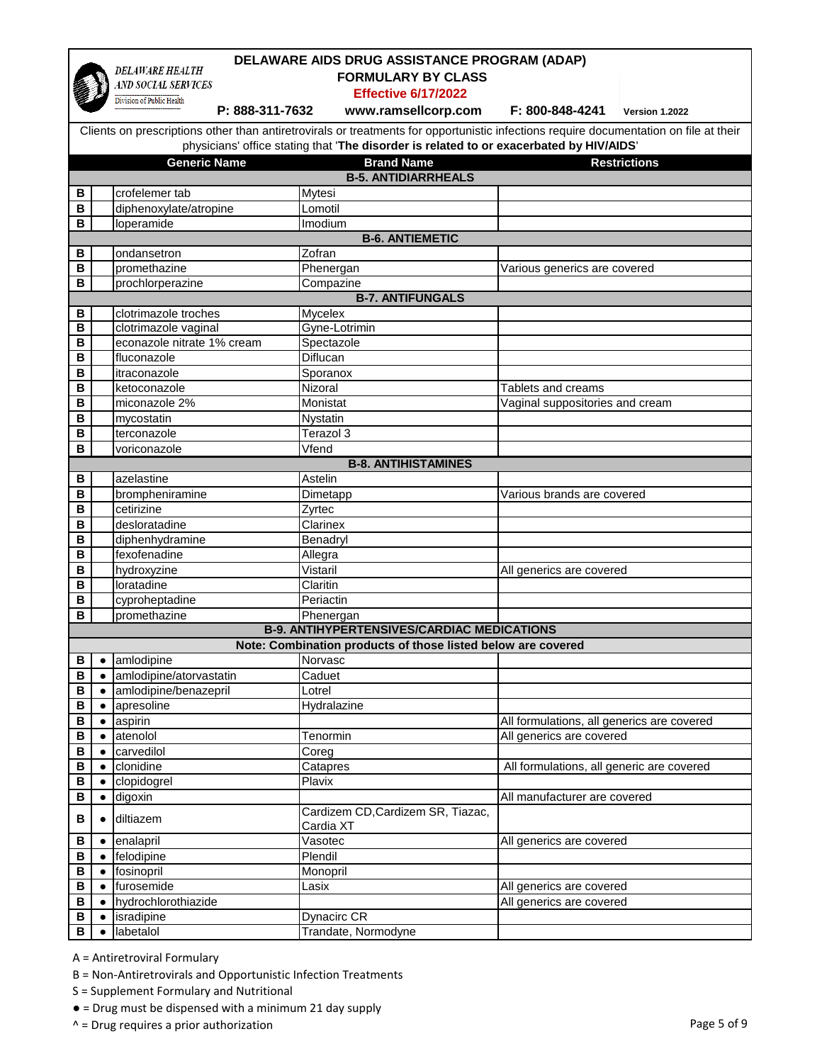

**DELAWARE AIDS DRUG ASSISTANCE PROGRAM (ADAP) DELAWARE HEALTH FORMULARY BY CLASS**  AND SOCIAL SERVICES **Effective 6/17/2022** Division of Public Health  **P: 888-311-7632 www.ramsellcorp.com F: 800-848-4241 Version 1.2022** Clients on prescriptions other than antiretrovirals or treatments for opportunistic infections require documentation on file at their physicians' office stating that '**The disorder is related to or exacerbated by HIV/AIDS**' **Generic Name Brand Name Restrictions B-5. ANTIDIARRHEALS B** crofelemer tab Mytesi **B** diphenoxylate/atropine Lomotil **B** loperamide Imodium **B-6. ANTIEMETIC B** ondansetron **Zofran B** promethazine **Phenergan** Phenergan Various generics are covered **B** prochlorperazine **Compazine B-7. ANTIFUNGALS B** clotrimazole troches Mycelex **B** clotrimazole vaginal **Gyne-Lotrimin B** econazole nitrate 1% cream Spectazole **B** fluconazole **Diflucan B** itraconazole Sporanox **B** ketoconazole **Nizoral** Nizoral Nizoral Tablets and creams **B** miconazole 2% Monistat Monistat Vaginal suppositories and cream **B** mycostatin Nystatin **B** terconazole Terazol 3 **B** voriconazole Vfend **B-8. ANTIHISTAMINES B** azelastine Astelin **B** brompheniramine Dimetapp Various brands are covered **B** cetirizine **Zyrtec B** desloratadine Clarinex **B** diphenhydramine **Benadryl B** fexofenadine Allegra **B** hydroxyzine **Vistaril** Vistaril **All generics are covered B loratadine Claritin B** cyproheptadine **Periactin B** promethazine Phenergan **B-9. ANTIHYPERTENSIVES/CARDIAC MEDICATIONS Note: Combination products of those listed below are covered B e** amlodipine Norvasc **B e** amlodipine/atorvastatin **Caduet B e** amlodipine/benazepril Lotrel **B e** apresoline **Hydralazine B •** aspirin **All formulations**, all generics are covered **B e** atenolol **Tenormin Example 1 All generics are covered B e** carvedilol **Coreg B •** clonidine **Catapres** Catapres **All formulations, all generic are covered B e** clopidogrel **Plavix** 

**B e** digoxin **All manufacturer are covered B e** diltiazem **CALC a CALC CALC CALC CALC CALC CALC CALC CALC CALC CALC CALC CALC CALC CALC CALC CALC CALC CALC CALC CALC CALC CALC CALC CALC CALC CALC CALC CAL** Cardia XT **B •** enalapril **All generics are covered All generics are covered B e** felodipine **Plendil B ●** fosinopril Monopril **B e** furosemide **Lasix Lasix All generics are covered B**  $\bullet$  **hydrochlorothiazide** All generics are covered **B e** isradipine **Dynacirc CR B ●** labetalol Trandate, Normodyne

A = Antiretroviral Formulary

B = Non-Antiretrovirals and Opportunistic Infection Treatments

S = Supplement Formulary and Nutritional

- = Drug must be dispensed with a minimum 21 day supply
- ^ = Drug requires a prior authorization **Page 5 of 9** and 2011 12 and 2012 12 and 2012 12 and 2012 12 and 2012 12 and 2012 12 and 2012 12 and 2012 12 and 2012 12 and 2012 12 and 2012 12 and 2012 12 and 2012 12 and 2012 12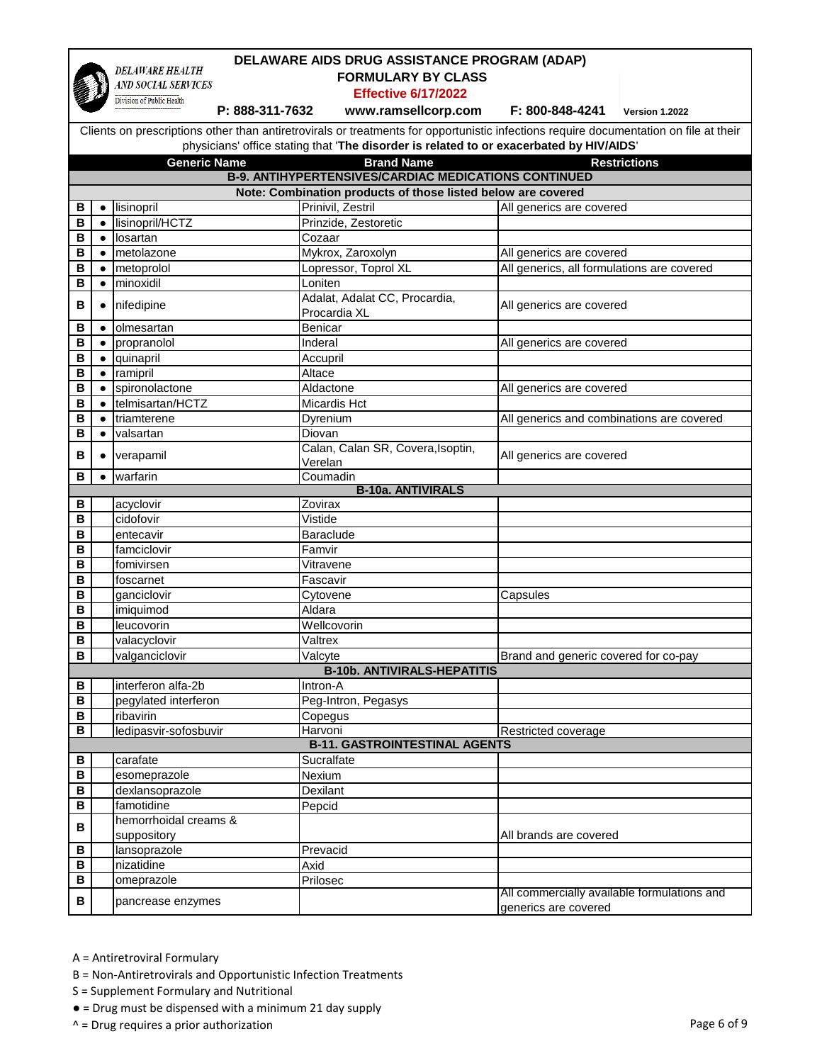

## **DELAWARE AIDS DRUG ASSISTANCE PROGRAM (ADAP)**

 **FORMULARY BY CLASS** 

**Effective 6/17/2022**

**Exprective 6/17/2022**<br>**P: 888-311-7632 mww.ramsellcorp.com F: 800-848-4241** Version 1.2022

Clients on prescriptions other than antiretrovirals or treatments for opportunistic infections require documentation on file at their physicians' office stating that '**The disorder is related to or exacerbated by HIV/AIDS**'

|                         | privsicialis bilice stating that The disorder is related to be exacerbated by HIV/AIDS                                         |                                      |                                               |                                                                     |  |  |
|-------------------------|--------------------------------------------------------------------------------------------------------------------------------|--------------------------------------|-----------------------------------------------|---------------------------------------------------------------------|--|--|
|                         | <b>Generic Name</b><br><b>Brand Name</b><br><b>Restrictions</b><br><b>B-9. ANTIHYPERTENSIVES/CARDIAC MEDICATIONS CONTINUED</b> |                                      |                                               |                                                                     |  |  |
|                         |                                                                                                                                |                                      |                                               |                                                                     |  |  |
|                         | Note: Combination products of those listed below are covered                                                                   |                                      |                                               |                                                                     |  |  |
| В                       | $\bullet$                                                                                                                      | lisinopril                           | Prinivil, Zestril                             | All generics are covered                                            |  |  |
| B                       | $\bullet$                                                                                                                      | lisinopril/HCTZ                      | Prinzide, Zestoretic                          |                                                                     |  |  |
| B                       | $\bullet$                                                                                                                      | losartan                             | Cozaar                                        |                                                                     |  |  |
| B                       | $\bullet$                                                                                                                      | metolazone                           | Mykrox, Zaroxolyn                             | All generics are covered                                            |  |  |
| B                       |                                                                                                                                | metoprolol                           | Lopressor, Toprol XL                          | All generics, all formulations are covered                          |  |  |
| в                       |                                                                                                                                | minoxidil                            | Loniten                                       |                                                                     |  |  |
| B                       |                                                                                                                                | nifedipine                           | Adalat, Adalat CC, Procardia,<br>Procardia XL | All generics are covered                                            |  |  |
| в                       |                                                                                                                                | olmesartan                           | Benicar                                       |                                                                     |  |  |
| в                       |                                                                                                                                | propranolol                          | Inderal                                       | All generics are covered                                            |  |  |
| B                       |                                                                                                                                | quinapril                            | Accupril                                      |                                                                     |  |  |
| B                       |                                                                                                                                | ramipril                             | Altace                                        |                                                                     |  |  |
| B                       |                                                                                                                                | spironolactone                       | Aldactone                                     | All generics are covered                                            |  |  |
| B                       |                                                                                                                                | telmisartan/HCTZ                     | Micardis Hct                                  |                                                                     |  |  |
| в                       |                                                                                                                                | triamterene                          | Dyrenium                                      | All generics and combinations are covered                           |  |  |
| B                       | $\bullet$                                                                                                                      | valsartan                            | Diovan                                        |                                                                     |  |  |
| в                       |                                                                                                                                | verapamil                            | Calan, Calan SR, Covera, Isoptin,             | All generics are covered                                            |  |  |
|                         |                                                                                                                                |                                      | Verelan                                       |                                                                     |  |  |
| в                       |                                                                                                                                | warfarin                             | Coumadin                                      |                                                                     |  |  |
|                         |                                                                                                                                |                                      | <b>B-10a. ANTIVIRALS</b>                      |                                                                     |  |  |
| В                       |                                                                                                                                | acyclovir                            | Zovirax                                       |                                                                     |  |  |
| В                       |                                                                                                                                | cidofovir                            | Vistide                                       |                                                                     |  |  |
| $\overline{\mathbf{B}}$ |                                                                                                                                | entecavir                            | <b>Baraclude</b>                              |                                                                     |  |  |
| B                       |                                                                                                                                | famciclovir                          | Famvir                                        |                                                                     |  |  |
| B                       |                                                                                                                                | fomivirsen                           | Vitravene                                     |                                                                     |  |  |
| В                       |                                                                                                                                | foscarnet                            | Fascavir                                      |                                                                     |  |  |
| B                       |                                                                                                                                | ganciclovir                          | Cytovene                                      | Capsules                                                            |  |  |
| B                       |                                                                                                                                | imiquimod                            | Aldara                                        |                                                                     |  |  |
| B                       |                                                                                                                                | leucovorin                           | Wellcovorin                                   |                                                                     |  |  |
| B                       |                                                                                                                                | valacyclovir                         | Valtrex                                       |                                                                     |  |  |
| B                       |                                                                                                                                | valganciclovir                       | Valcyte                                       | Brand and generic covered for co-pay                                |  |  |
|                         |                                                                                                                                |                                      | <b>B-10b. ANTIVIRALS-HEPATITIS</b>            |                                                                     |  |  |
| В                       |                                                                                                                                | interferon alfa-2b                   | Intron-A                                      |                                                                     |  |  |
| B                       |                                                                                                                                | pegylated interferon                 | Peg-Intron, Pegasys                           |                                                                     |  |  |
| B                       |                                                                                                                                | ribavirin                            | Copegus                                       |                                                                     |  |  |
| $\overline{\mathsf{B}}$ |                                                                                                                                | ledipasvir-sofosbuvir                | Harvoni                                       | Restricted coverage                                                 |  |  |
|                         |                                                                                                                                |                                      | <b>B-11. GASTROINTESTINAL AGENTS</b>          |                                                                     |  |  |
| В                       |                                                                                                                                | carafate                             | Sucralfate                                    |                                                                     |  |  |
| В                       |                                                                                                                                | esomeprazole                         | Nexium                                        |                                                                     |  |  |
| В                       |                                                                                                                                | dexlansoprazole                      | Dexilant                                      |                                                                     |  |  |
| В                       |                                                                                                                                | famotidine                           | Pepcid                                        |                                                                     |  |  |
| В                       |                                                                                                                                | hemorrhoidal creams &<br>suppository |                                               | All brands are covered                                              |  |  |
| В                       |                                                                                                                                | lansoprazole                         | Prevacid                                      |                                                                     |  |  |
| В                       |                                                                                                                                | nizatidine                           | Axid                                          |                                                                     |  |  |
| В                       |                                                                                                                                | omeprazole                           | Prilosec                                      |                                                                     |  |  |
| В                       |                                                                                                                                | pancrease enzymes                    |                                               | All commercially available formulations and<br>generics are covered |  |  |

A = Antiretroviral Formulary

- B = Non-Antiretrovirals and Opportunistic Infection Treatments
- S = Supplement Formulary and Nutritional
- = Drug must be dispensed with a minimum 21 day supply
- ^ = Drug requires a prior authorization example of 9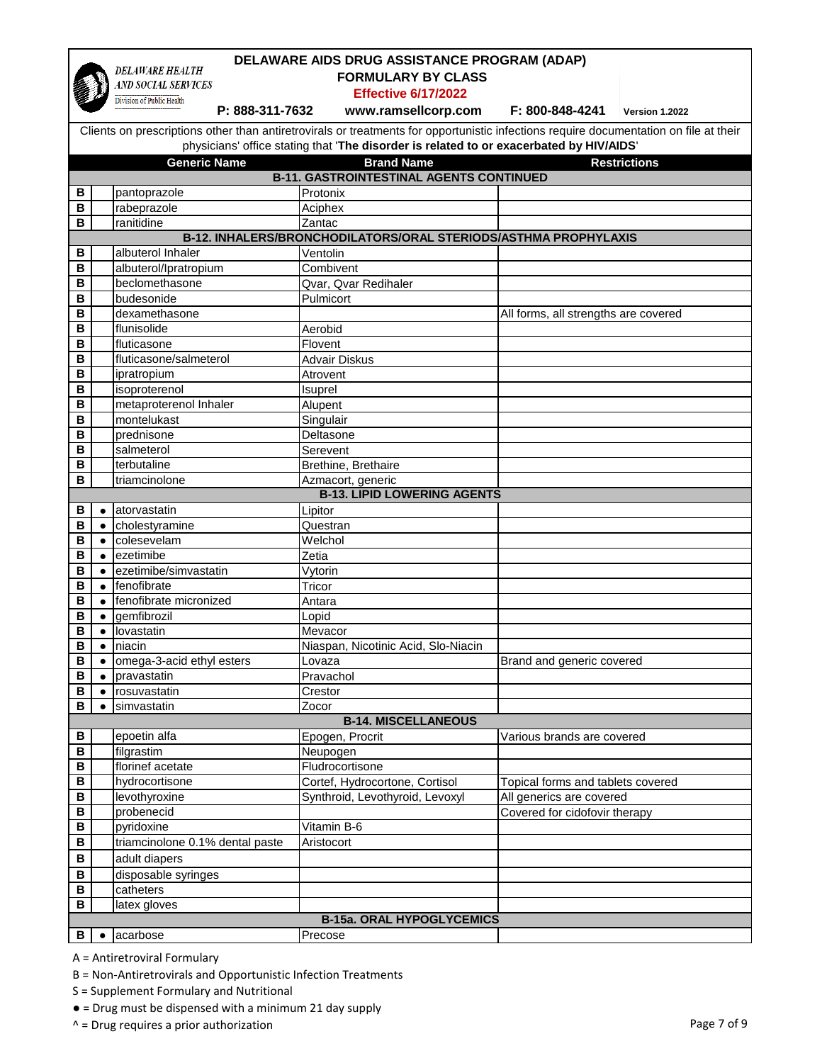|        | DELAWARE AIDS DRUG ASSISTANCE PROGRAM (ADAP)                               |                                              |                                                                                                                                       |                                      |                     |
|--------|----------------------------------------------------------------------------|----------------------------------------------|---------------------------------------------------------------------------------------------------------------------------------------|--------------------------------------|---------------------|
|        | <b>DELAWARE HEALTH</b><br><b>FORMULARY BY CLASS</b><br>AND SOCIAL SERVICES |                                              |                                                                                                                                       |                                      |                     |
|        |                                                                            |                                              | <b>Effective 6/17/2022</b>                                                                                                            |                                      |                     |
|        |                                                                            | Division of Public Health<br>P: 888-311-7632 | www.ramsellcorp.com                                                                                                                   | F: 800-848-4241                      | Version 1.2022      |
|        |                                                                            |                                              |                                                                                                                                       |                                      |                     |
|        |                                                                            |                                              | Clients on prescriptions other than antiretrovirals or treatments for opportunistic infections require documentation on file at their |                                      |                     |
|        |                                                                            |                                              | physicians' office stating that 'The disorder is related to or exacerbated by HIV/AIDS'                                               |                                      |                     |
|        |                                                                            | <b>Generic Name</b>                          | <b>Brand Name</b>                                                                                                                     |                                      | <b>Restrictions</b> |
|        |                                                                            |                                              | <b>B-11. GASTROINTESTINAL AGENTS CONTINUED</b>                                                                                        |                                      |                     |
| В      |                                                                            | pantoprazole                                 | Protonix                                                                                                                              |                                      |                     |
| В<br>в |                                                                            | rabeprazole<br>ranitidine                    | Aciphex                                                                                                                               |                                      |                     |
|        |                                                                            |                                              | Zantac<br>B-12. INHALERS/BRONCHODILATORS/ORAL STERIODS/ASTHMA PROPHYLAXIS                                                             |                                      |                     |
| В      |                                                                            | albuterol Inhaler                            | Ventolin                                                                                                                              |                                      |                     |
| B      |                                                                            | albuterol/Ipratropium                        | Combivent                                                                                                                             |                                      |                     |
| B      |                                                                            | beclomethasone                               | Qvar, Qvar Redihaler                                                                                                                  |                                      |                     |
| в      |                                                                            | budesonide                                   | Pulmicort                                                                                                                             |                                      |                     |
| в      |                                                                            | dexamethasone                                |                                                                                                                                       | All forms, all strengths are covered |                     |
| B      |                                                                            | flunisolide                                  | Aerobid                                                                                                                               |                                      |                     |
| В      |                                                                            | fluticasone                                  | Flovent                                                                                                                               |                                      |                     |
| B      |                                                                            | fluticasone/salmeterol                       | <b>Advair Diskus</b>                                                                                                                  |                                      |                     |
| в      |                                                                            | ipratropium                                  | Atrovent                                                                                                                              |                                      |                     |
| B      |                                                                            | isoproterenol                                | Isuprel                                                                                                                               |                                      |                     |
| B      |                                                                            | metaproterenol Inhaler                       | Alupent                                                                                                                               |                                      |                     |
| B      |                                                                            | montelukast                                  | Singulair                                                                                                                             |                                      |                     |
| В      |                                                                            | prednisone                                   | Deltasone                                                                                                                             |                                      |                     |
| В      |                                                                            | salmeterol                                   | Serevent                                                                                                                              |                                      |                     |
| B      |                                                                            | terbutaline                                  | Brethine, Brethaire                                                                                                                   |                                      |                     |
| в      |                                                                            | triamcinolone                                | Azmacort, generic                                                                                                                     |                                      |                     |
|        |                                                                            |                                              | <b>B-13. LIPID LOWERING AGENTS</b>                                                                                                    |                                      |                     |
| В      | $\bullet$                                                                  | atorvastatin                                 | Lipitor                                                                                                                               |                                      |                     |
| B      | $\bullet$                                                                  | cholestyramine                               | Questran                                                                                                                              |                                      |                     |
| в      | $\bullet$                                                                  | colesevelam                                  | Welchol                                                                                                                               |                                      |                     |
| В      | $\bullet$                                                                  | ezetimibe                                    | Zetia                                                                                                                                 |                                      |                     |
| В      | $\bullet$                                                                  | ezetimibe/simvastatin                        | Vytorin                                                                                                                               |                                      |                     |
| В      | $\bullet$                                                                  | fenofibrate                                  | Tricor                                                                                                                                |                                      |                     |
| B      | $\bullet$                                                                  | fenofibrate micronized                       | Antara                                                                                                                                |                                      |                     |
| в      | $\bullet$                                                                  | gemfibrozil                                  | Lopid                                                                                                                                 |                                      |                     |
| в      |                                                                            | lovastatin                                   | Mevacor                                                                                                                               |                                      |                     |
| B      | $\bullet$                                                                  | niacin<br>omega-3-acid ethyl esters          | Niaspan, Nicotinic Acid, Slo-Niacin<br>Lovaza                                                                                         | Brand and generic covered            |                     |
| В<br>В | $\bullet$                                                                  |                                              | Pravachol                                                                                                                             |                                      |                     |
| В      |                                                                            | pravastatin<br>rosuvastatin                  | Crestor                                                                                                                               |                                      |                     |
| в      |                                                                            | simvastatin                                  | Zocor                                                                                                                                 |                                      |                     |
|        |                                                                            |                                              | <b>B-14. MISCELLANEOUS</b>                                                                                                            |                                      |                     |
| В      |                                                                            | epoetin alfa                                 | Epogen, Procrit                                                                                                                       | Various brands are covered           |                     |
| В      |                                                                            | filgrastim                                   | Neupogen                                                                                                                              |                                      |                     |
| В      |                                                                            | florinef acetate                             | Fludrocortisone                                                                                                                       |                                      |                     |
| в      |                                                                            | hydrocortisone                               | Cortef, Hydrocortone, Cortisol                                                                                                        | Topical forms and tablets covered    |                     |
| В      |                                                                            | levothyroxine                                | Synthroid, Levothyroid, Levoxyl                                                                                                       | All generics are covered             |                     |
| В      |                                                                            | probenecid                                   |                                                                                                                                       | Covered for cidofovir therapy        |                     |
| в      |                                                                            | pyridoxine                                   | Vitamin B-6                                                                                                                           |                                      |                     |
| В      |                                                                            | triamcinolone 0.1% dental paste              | Aristocort                                                                                                                            |                                      |                     |
| В      |                                                                            | adult diapers                                |                                                                                                                                       |                                      |                     |
| В      |                                                                            | disposable syringes                          |                                                                                                                                       |                                      |                     |
| В      |                                                                            | catheters                                    |                                                                                                                                       |                                      |                     |
| В      |                                                                            | latex gloves                                 |                                                                                                                                       |                                      |                     |
|        |                                                                            |                                              | <b>B-15a. ORAL HYPOGLYCEMICS</b>                                                                                                      |                                      |                     |
| В      | $\bullet$                                                                  | acarbose                                     | Precose                                                                                                                               |                                      |                     |

B = Non-Antiretrovirals and Opportunistic Infection Treatments

S = Supplement Formulary and Nutritional

● = Drug must be dispensed with a minimum 21 day supply

^ = Drug requires a prior authorization Page 7 of 9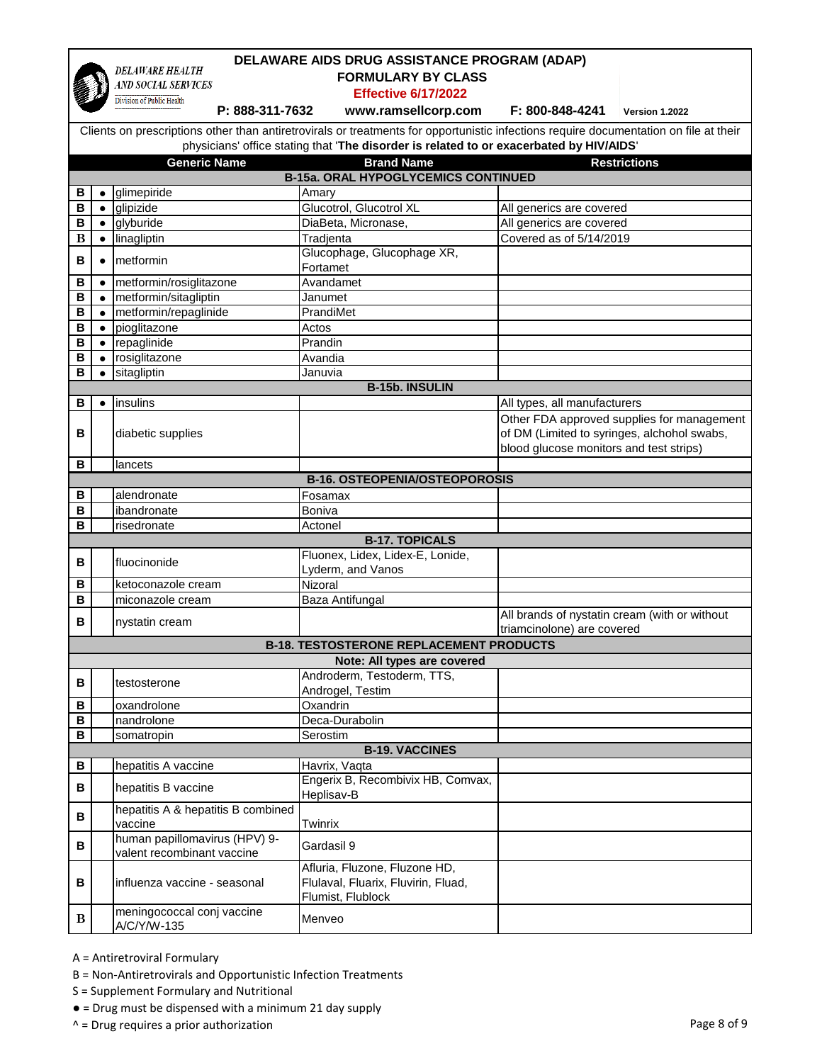|   |           | <b>DELAWARE HEALTH</b>                                      | DELAWARE AIDS DRUG ASSISTANCE PROGRAM (ADAP)                                                                                          |                                               |                                            |
|---|-----------|-------------------------------------------------------------|---------------------------------------------------------------------------------------------------------------------------------------|-----------------------------------------------|--------------------------------------------|
|   |           | AND SOCIAL SERVICES                                         | <b>FORMULARY BY CLASS</b>                                                                                                             |                                               |                                            |
|   |           | Division of Public Health                                   | <b>Effective 6/17/2022</b>                                                                                                            |                                               |                                            |
|   |           | P: 888-311-7632                                             | www.ramsellcorp.com                                                                                                                   | F: 800-848-4241                               | Version 1.2022                             |
|   |           |                                                             | Clients on prescriptions other than antiretrovirals or treatments for opportunistic infections require documentation on file at their |                                               |                                            |
|   |           |                                                             | physicians' office stating that 'The disorder is related to or exacerbated by HIV/AIDS'                                               |                                               |                                            |
|   |           | <b>Generic Name</b>                                         | <b>Brand Name</b>                                                                                                                     |                                               |                                            |
|   |           |                                                             | <b>B-15a. ORAL HYPOGLYCEMICS CONTINUED</b>                                                                                            |                                               | <b>Restrictions</b>                        |
| В | $\bullet$ | glimepiride                                                 | Amary                                                                                                                                 |                                               |                                            |
| B | $\bullet$ | glipizide                                                   | Glucotrol, Glucotrol XL                                                                                                               | All generics are covered                      |                                            |
| B | $\bullet$ | glyburide                                                   | DiaBeta, Micronase,                                                                                                                   | All generics are covered                      |                                            |
| B | $\bullet$ | linagliptin                                                 | Tradjenta                                                                                                                             | Covered as of 5/14/2019                       |                                            |
|   |           |                                                             | Glucophage, Glucophage XR,                                                                                                            |                                               |                                            |
| B |           | metformin                                                   | Fortamet                                                                                                                              |                                               |                                            |
| В |           | metformin/rosiglitazone                                     | Avandamet                                                                                                                             |                                               |                                            |
| B | $\bullet$ | metformin/sitagliptin                                       | Janumet                                                                                                                               |                                               |                                            |
| B |           | metformin/repaglinide                                       | PrandiMet                                                                                                                             |                                               |                                            |
| в |           | pioglitazone                                                | Actos                                                                                                                                 |                                               |                                            |
| B | $\bullet$ | repaglinide                                                 | Prandin                                                                                                                               |                                               |                                            |
| в | $\bullet$ | rosiglitazone                                               | Avandia                                                                                                                               |                                               |                                            |
| в | $\bullet$ | sitagliptin                                                 | Januvia                                                                                                                               |                                               |                                            |
|   |           |                                                             | <b>B-15b. INSULIN</b>                                                                                                                 |                                               |                                            |
| в |           | insulins                                                    |                                                                                                                                       | All types, all manufacturers                  |                                            |
|   |           |                                                             |                                                                                                                                       |                                               | Other FDA approved supplies for management |
| B |           | diabetic supplies                                           |                                                                                                                                       | of DM (Limited to syringes, alchohol swabs,   |                                            |
|   |           |                                                             |                                                                                                                                       | blood glucose monitors and test strips)       |                                            |
| B |           | lancets                                                     |                                                                                                                                       |                                               |                                            |
|   |           |                                                             | <b>B-16. OSTEOPENIA/OSTEOPOROSIS</b>                                                                                                  |                                               |                                            |
| в |           | alendronate                                                 | Fosamax                                                                                                                               |                                               |                                            |
| B |           | ibandronate                                                 | Boniva                                                                                                                                |                                               |                                            |
| в |           | risedronate                                                 | Actonel                                                                                                                               |                                               |                                            |
|   |           |                                                             | <b>B-17. TOPICALS</b>                                                                                                                 |                                               |                                            |
|   |           |                                                             | Fluonex, Lidex, Lidex-E, Lonide,                                                                                                      |                                               |                                            |
| B |           | fluocinonide                                                | Lyderm, and Vanos                                                                                                                     |                                               |                                            |
| в |           | ketoconazole cream                                          | Nizoral                                                                                                                               |                                               |                                            |
| B |           | miconazole cream                                            | Baza Antifungal                                                                                                                       |                                               |                                            |
|   |           |                                                             |                                                                                                                                       | All brands of nystatin cream (with or without |                                            |
| в |           | nystatin cream                                              |                                                                                                                                       | triamcinolone) are covered                    |                                            |
|   |           |                                                             | <b>B-18. TESTOSTERONE REPLACEMENT PRODUCTS</b>                                                                                        |                                               |                                            |
|   |           |                                                             | Note: All types are covered                                                                                                           |                                               |                                            |
|   |           |                                                             | Androderm, Testoderm, TTS,                                                                                                            |                                               |                                            |
| В |           | testosterone                                                | Androgel, Testim                                                                                                                      |                                               |                                            |
| B |           | oxandrolone                                                 | Oxandrin                                                                                                                              |                                               |                                            |
| В |           | nandrolone                                                  | Deca-Durabolin                                                                                                                        |                                               |                                            |
| B |           | somatropin                                                  | Serostim                                                                                                                              |                                               |                                            |
|   |           |                                                             | <b>B-19. VACCINES</b>                                                                                                                 |                                               |                                            |
| В |           | hepatitis A vaccine                                         | Havrix, Vaqta                                                                                                                         |                                               |                                            |
| В |           | hepatitis B vaccine                                         | Engerix B, Recombivix HB, Comvax,<br>Heplisav-B                                                                                       |                                               |                                            |
| В |           | hepatitis A & hepatitis B combined<br>vaccine               | Twinrix                                                                                                                               |                                               |                                            |
| в |           | human papillomavirus (HPV) 9-<br>valent recombinant vaccine | Gardasil 9                                                                                                                            |                                               |                                            |
| В |           | influenza vaccine - seasonal                                | Afluria, Fluzone, Fluzone HD,<br>Flulaval, Fluarix, Fluvirin, Fluad,<br>Flumist, Flublock                                             |                                               |                                            |
| B |           | meningococcal conj vaccine<br>A/C/Y/W-135                   | Menveo                                                                                                                                |                                               |                                            |

 $\mathbf I$ 

- B = Non-Antiretrovirals and Opportunistic Infection Treatments
- S = Supplement Formulary and Nutritional
- = Drug must be dispensed with a minimum 21 day supply
- ^ = Drug requires a prior authorization Page 8 of 9